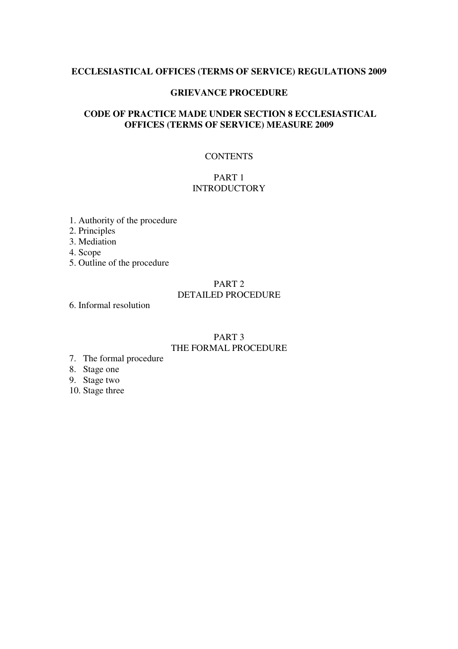#### **ECCLESIASTICAL OFFICES (TERMS OF SERVICE) REGULATIONS 2009**

### **GRIEVANCE PROCEDURE**

# **CODE OF PRACTICE MADE UNDER SECTION 8 ECCLESIASTICAL OFFICES (TERMS OF SERVICE) MEASURE 2009**

# **CONTENTS**

# PART 1 **INTRODUCTORY**

- 1. Authority of the procedure
- 2. Principles
- 3. Mediation
- 4. Scope
- 5. Outline of the procedure

### PART 2 DETAILED PROCEDURE

6. Informal resolution

## PART 3 THE FORMAL PROCEDURE

- 7. The formal procedure
- 8. Stage one
- 9. Stage two
- 10. Stage three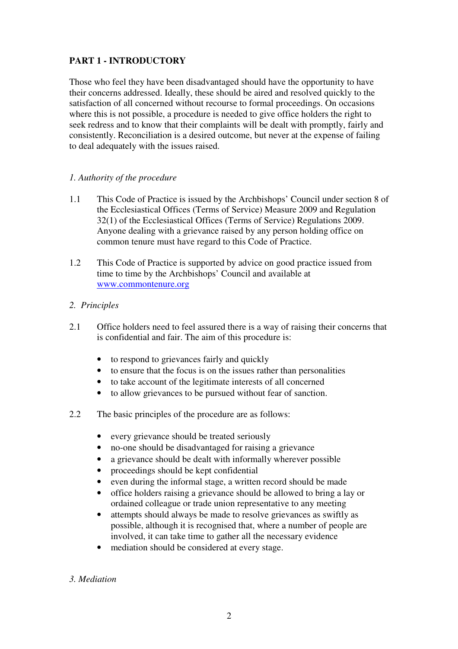# **PART 1 - INTRODUCTORY**

Those who feel they have been disadvantaged should have the opportunity to have their concerns addressed. Ideally, these should be aired and resolved quickly to the satisfaction of all concerned without recourse to formal proceedings. On occasions where this is not possible, a procedure is needed to give office holders the right to seek redress and to know that their complaints will be dealt with promptly, fairly and consistently. Reconciliation is a desired outcome, but never at the expense of failing to deal adequately with the issues raised.

# *1. Authority of the procedure*

- 1.1 This Code of Practice is issued by the Archbishops' Council under section 8 of the Ecclesiastical Offices (Terms of Service) Measure 2009 and Regulation 32(1) of the Ecclesiastical Offices (Terms of Service) Regulations 2009. Anyone dealing with a grievance raised by any person holding office on common tenure must have regard to this Code of Practice.
- 1.2 This Code of Practice is supported by advice on good practice issued from time to time by the Archbishops' Council and available at www.commontenure.org

# *2. Principles*

- 2.1 Office holders need to feel assured there is a way of raising their concerns that is confidential and fair. The aim of this procedure is:
	- to respond to grievances fairly and quickly
	- to ensure that the focus is on the issues rather than personalities
	- to take account of the legitimate interests of all concerned
	- to allow grievances to be pursued without fear of sanction.
- 2.2 The basic principles of the procedure are as follows:
	- every grievance should be treated seriously
	- no-one should be disadvantaged for raising a grievance
	- a grievance should be dealt with informally wherever possible
	- proceedings should be kept confidential
	- even during the informal stage, a written record should be made
	- office holders raising a grievance should be allowed to bring a lay or ordained colleague or trade union representative to any meeting
	- attempts should always be made to resolve grievances as swiftly as possible, although it is recognised that, where a number of people are involved, it can take time to gather all the necessary evidence
	- mediation should be considered at every stage.

# *3. Mediation*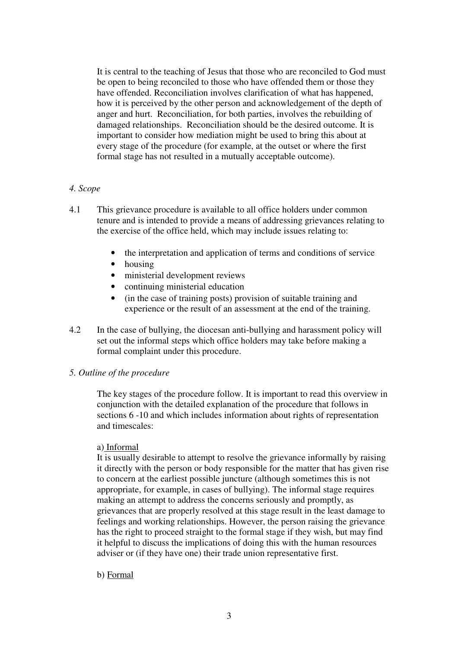It is central to the teaching of Jesus that those who are reconciled to God must be open to being reconciled to those who have offended them or those they have offended. Reconciliation involves clarification of what has happened, how it is perceived by the other person and acknowledgement of the depth of anger and hurt. Reconciliation, for both parties, involves the rebuilding of damaged relationships. Reconciliation should be the desired outcome. It is important to consider how mediation might be used to bring this about at every stage of the procedure (for example, at the outset or where the first formal stage has not resulted in a mutually acceptable outcome).

# *4. Scope*

- 4.1 This grievance procedure is available to all office holders under common tenure and is intended to provide a means of addressing grievances relating to the exercise of the office held, which may include issues relating to:
	- the interpretation and application of terms and conditions of service
	- housing
	- ministerial development reviews
	- continuing ministerial education
	- (in the case of training posts) provision of suitable training and experience or the result of an assessment at the end of the training.
- 4.2 In the case of bullying, the diocesan anti-bullying and harassment policy will set out the informal steps which office holders may take before making a formal complaint under this procedure.

#### *5. Outline of the procedure*

 The key stages of the procedure follow. It is important to read this overview in conjunction with the detailed explanation of the procedure that follows in sections 6 -10 and which includes information about rights of representation and timescales:

#### a) Informal

It is usually desirable to attempt to resolve the grievance informally by raising it directly with the person or body responsible for the matter that has given rise to concern at the earliest possible juncture (although sometimes this is not appropriate, for example, in cases of bullying). The informal stage requires making an attempt to address the concerns seriously and promptly, as grievances that are properly resolved at this stage result in the least damage to feelings and working relationships. However, the person raising the grievance has the right to proceed straight to the formal stage if they wish, but may find it helpful to discuss the implications of doing this with the human resources adviser or (if they have one) their trade union representative first.

#### b) Formal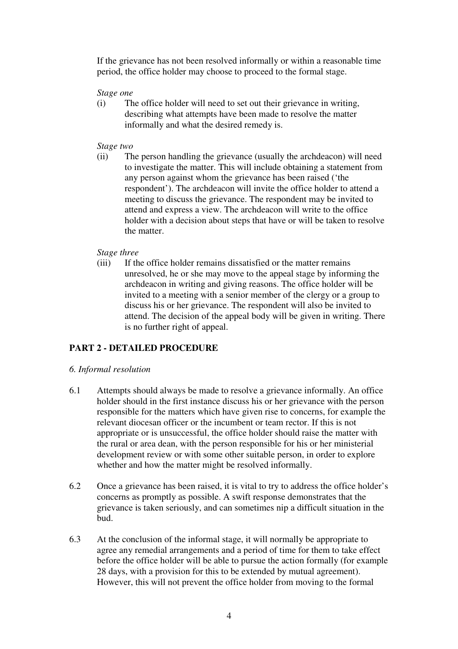If the grievance has not been resolved informally or within a reasonable time period, the office holder may choose to proceed to the formal stage.

#### *Stage one*

(i) The office holder will need to set out their grievance in writing, describing what attempts have been made to resolve the matter informally and what the desired remedy is.

#### *Stage two*

(ii) The person handling the grievance (usually the archdeacon) will need to investigate the matter. This will include obtaining a statement from any person against whom the grievance has been raised ('the respondent'). The archdeacon will invite the office holder to attend a meeting to discuss the grievance. The respondent may be invited to attend and express a view. The archdeacon will write to the office holder with a decision about steps that have or will be taken to resolve the matter.

#### *Stage three*

(iii) If the office holder remains dissatisfied or the matter remains unresolved, he or she may move to the appeal stage by informing the archdeacon in writing and giving reasons. The office holder will be invited to a meeting with a senior member of the clergy or a group to discuss his or her grievance. The respondent will also be invited to attend. The decision of the appeal body will be given in writing. There is no further right of appeal.

# **PART 2 - DETAILED PROCEDURE**

#### *6. Informal resolution*

- 6.1 Attempts should always be made to resolve a grievance informally. An office holder should in the first instance discuss his or her grievance with the person responsible for the matters which have given rise to concerns, for example the relevant diocesan officer or the incumbent or team rector. If this is not appropriate or is unsuccessful, the office holder should raise the matter with the rural or area dean, with the person responsible for his or her ministerial development review or with some other suitable person, in order to explore whether and how the matter might be resolved informally.
- 6.2 Once a grievance has been raised, it is vital to try to address the office holder's concerns as promptly as possible. A swift response demonstrates that the grievance is taken seriously, and can sometimes nip a difficult situation in the bud.
- 6.3 At the conclusion of the informal stage, it will normally be appropriate to agree any remedial arrangements and a period of time for them to take effect before the office holder will be able to pursue the action formally (for example 28 days, with a provision for this to be extended by mutual agreement). However, this will not prevent the office holder from moving to the formal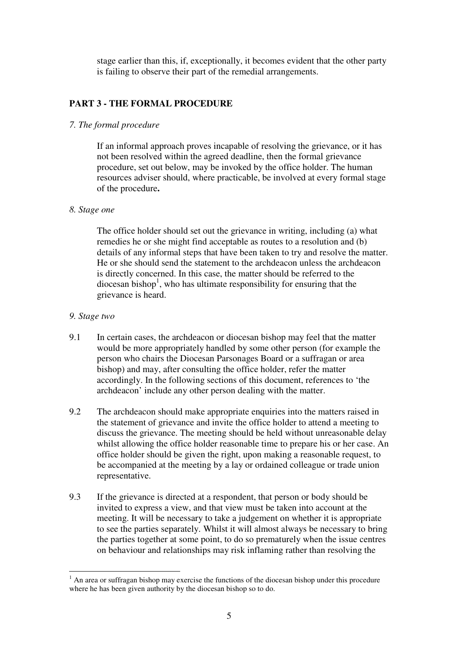stage earlier than this, if, exceptionally, it becomes evident that the other party is failing to observe their part of the remedial arrangements.

# **PART 3 - THE FORMAL PROCEDURE**

## *7. The formal procedure*

 If an informal approach proves incapable of resolving the grievance, or it has not been resolved within the agreed deadline, then the formal grievance procedure, set out below, may be invoked by the office holder. The human resources adviser should, where practicable, be involved at every formal stage of the procedure**.**

#### *8. Stage one*

 The office holder should set out the grievance in writing, including (a) what remedies he or she might find acceptable as routes to a resolution and (b) details of any informal steps that have been taken to try and resolve the matter. He or she should send the statement to the archdeacon unless the archdeacon is directly concerned. In this case, the matter should be referred to the diocesan bishop<sup>1</sup>, who has ultimate responsibility for ensuring that the grievance is heard.

# *9. Stage two*

- 9.1 In certain cases, the archdeacon or diocesan bishop may feel that the matter would be more appropriately handled by some other person (for example the person who chairs the Diocesan Parsonages Board or a suffragan or area bishop) and may, after consulting the office holder, refer the matter accordingly. In the following sections of this document, references to 'the archdeacon' include any other person dealing with the matter.
- 9.2 The archdeacon should make appropriate enquiries into the matters raised in the statement of grievance and invite the office holder to attend a meeting to discuss the grievance. The meeting should be held without unreasonable delay whilst allowing the office holder reasonable time to prepare his or her case. An office holder should be given the right, upon making a reasonable request, to be accompanied at the meeting by a lay or ordained colleague or trade union representative.
- 9.3 If the grievance is directed at a respondent, that person or body should be invited to express a view, and that view must be taken into account at the meeting. It will be necessary to take a judgement on whether it is appropriate to see the parties separately. Whilst it will almost always be necessary to bring the parties together at some point, to do so prematurely when the issue centres on behaviour and relationships may risk inflaming rather than resolving the

 $\overline{a}$  $<sup>1</sup>$  An area or suffragan bishop may exercise the functions of the diocesan bishop under this procedure</sup> where he has been given authority by the diocesan bishop so to do.